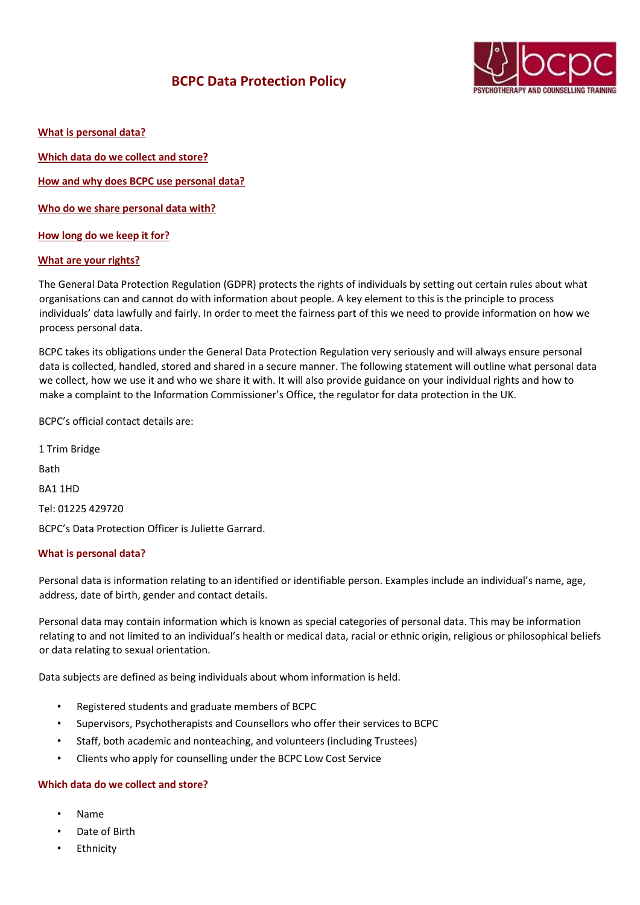# **BCPC Data Protection Policy**



**What is personal data?**

**Which data do we collect and store?**

**How and why does BCPC use personal data?**

**Who do we share personal data with?**

**How long do we keep it for?**

#### **What are your rights?**

The General Data Protection Regulation (GDPR) protects the rights of individuals by setting out certain rules about what organisations can and cannot do with information about people. A key element to this is the principle to process individuals' data lawfully and fairly. In order to meet the fairness part of this we need to provide information on how we process personal data.

BCPC takes its obligations under the General Data Protection Regulation very seriously and will always ensure personal data is collected, handled, stored and shared in a secure manner. The following statement will outline what personal data we collect, how we use it and who we share it with. It will also provide guidance on your individual rights and how to make a complaint to the Information Commissioner's Office, the regulator for data protection in the UK.

BCPC's official contact details are:

1 Trim Bridge Rath BA1 1HD Tel: 01225 429720 BCPC's Data Protection Officer is Juliette Garrard.

## **What is personal data?**

Personal data is information relating to an identified or identifiable person. Examples include an individual's name, age, address, date of birth, gender and contact details.

Personal data may contain information which is known as special categories of personal data. This may be information relating to and not limited to an individual's health or medical data, racial or ethnic origin, religious or philosophical beliefs or data relating to sexual orientation.

Data subjects are defined as being individuals about whom information is held.

- Registered students and graduate members of BCPC
- Supervisors, Psychotherapists and Counsellors who offer their services to BCPC
- Staff, both academic and nonteaching, and volunteers (including Trustees)
- Clients who apply for counselling under the BCPC Low Cost Service

#### **Which data do we collect and store?**

- Name
- Date of Birth
- **Ethnicity**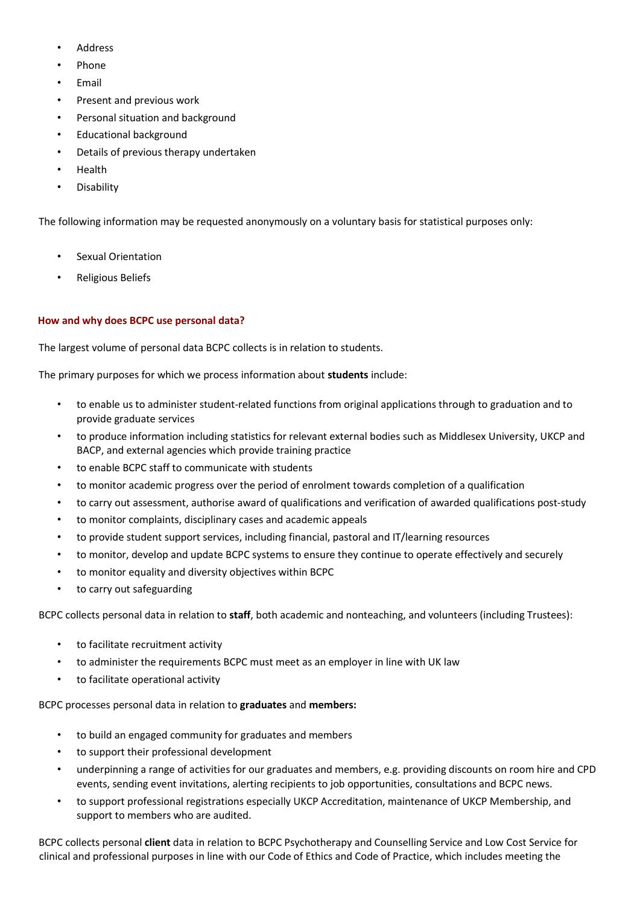- **Address**
- Phone
- Email
- Present and previous work
- Personal situation and background
- Educational background
- Details of previous therapy undertaken
- Health
- **Disability**

The following information may be requested anonymously on a voluntary basis for statistical purposes only:

- Sexual Orientation
- Religious Beliefs

## **How and why does BCPC use personal data?**

The largest volume of personal data BCPC collects is in relation to students.

The primary purposes for which we process information about **students** include:

- to enable us to administer student-related functions from original applications through to graduation and to provide graduate services
- to produce information including statistics for relevant external bodies such as Middlesex University, UKCP and BACP, and external agencies which provide training practice
- to enable BCPC staff to communicate with students
- to monitor academic progress over the period of enrolment towards completion of a qualification
- to carry out assessment, authorise award of qualifications and verification of awarded qualifications post-study
- to monitor complaints, disciplinary cases and academic appeals
- to provide student support services, including financial, pastoral and IT/learning resources
- to monitor, develop and update BCPC systems to ensure they continue to operate effectively and securely
- to monitor equality and diversity objectives within BCPC
- to carry out safeguarding

BCPC collects personal data in relation to **staff**, both academic and nonteaching, and volunteers (including Trustees):

- to facilitate recruitment activity
- to administer the requirements BCPC must meet as an employer in line with UK law
- to facilitate operational activity

BCPC processes personal data in relation to **graduates** and **members:**

- to build an engaged community for graduates and members
- to support their professional development
- underpinning a range of activities for our graduates and members, e.g. providing discounts on room hire and CPD events, sending event invitations, alerting recipients to job opportunities, consultations and BCPC news.
- to support professional registrations especially UKCP Accreditation, maintenance of UKCP Membership, and support to members who are audited.

BCPC collects personal **client** data in relation to BCPC Psychotherapy and Counselling Service and Low Cost Service for clinical and professional purposes in line with our Code of Ethics and Code of Practice, which includes meeting the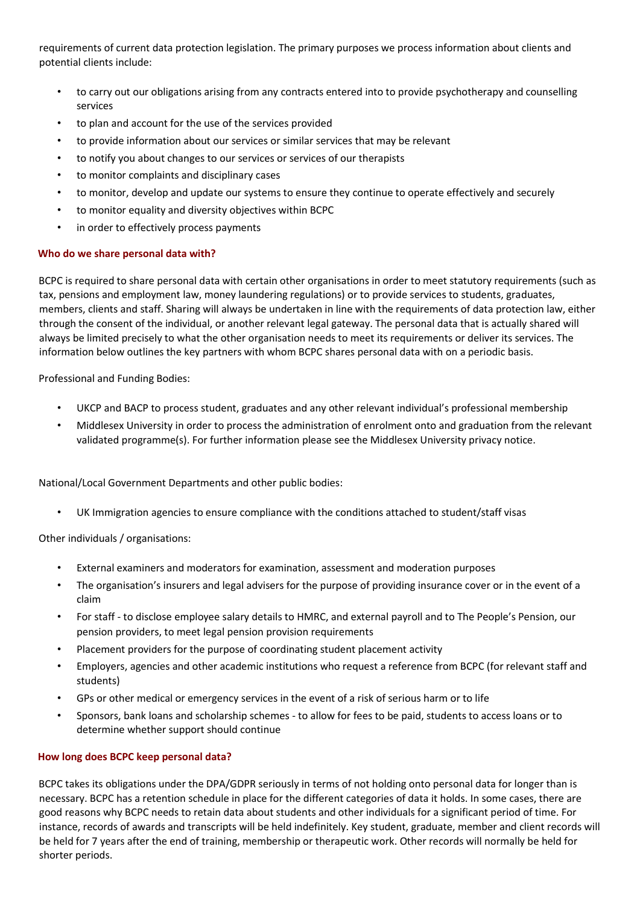requirements of current data protection legislation. The primary purposes we process information about clients and potential clients include:

- to carry out our obligations arising from any contracts entered into to provide psychotherapy and counselling services
- to plan and account for the use of the services provided
- to provide information about our services or similar services that may be relevant
- to notify you about changes to our services or services of our therapists
- to monitor complaints and disciplinary cases
- to monitor, develop and update our systems to ensure they continue to operate effectively and securely
- to monitor equality and diversity objectives within BCPC
- in order to effectively process payments

## **Who do we share personal data with?**

BCPC is required to share personal data with certain other organisations in order to meet statutory requirements (such as tax, pensions and employment law, money laundering regulations) or to provide services to students, graduates, members, clients and staff. Sharing will always be undertaken in line with the requirements of data protection law, either through the consent of the individual, or another relevant legal gateway. The personal data that is actually shared will always be limited precisely to what the other organisation needs to meet its requirements or deliver its services. The information below outlines the key partners with whom BCPC shares personal data with on a periodic basis.

Professional and Funding Bodies:

- UKCP and BACP to process student, graduates and any other relevant individual's professional membership
- Middlesex University in order to process the administration of enrolment onto and graduation from the relevant validated programme(s). For further information please see the Middlesex University privacy notice.

National/Local Government Departments and other public bodies:

• UK Immigration agencies to ensure compliance with the conditions attached to student/staff visas

Other individuals / organisations:

- External examiners and moderators for examination, assessment and moderation purposes
- The organisation's insurers and legal advisers for the purpose of providing insurance cover or in the event of a claim
- For staff to disclose employee salary details to HMRC, and external payroll and to The People's Pension, our pension providers, to meet legal pension provision requirements
- Placement providers for the purpose of coordinating student placement activity
- Employers, agencies and other academic institutions who request a reference from BCPC (for relevant staff and students)
- GPs or other medical or emergency services in the event of a risk of serious harm or to life
- Sponsors, bank loans and scholarship schemes to allow for fees to be paid, students to access loans or to determine whether support should continue

## **How long does BCPC keep personal data?**

BCPC takes its obligations under the DPA/GDPR seriously in terms of not holding onto personal data for longer than is necessary. BCPC has a retention schedule in place for the different categories of data it holds. In some cases, there are good reasons why BCPC needs to retain data about students and other individuals for a significant period of time. For instance, records of awards and transcripts will be held indefinitely. Key student, graduate, member and client records will be held for 7 years after the end of training, membership or therapeutic work. Other records will normally be held for shorter periods.